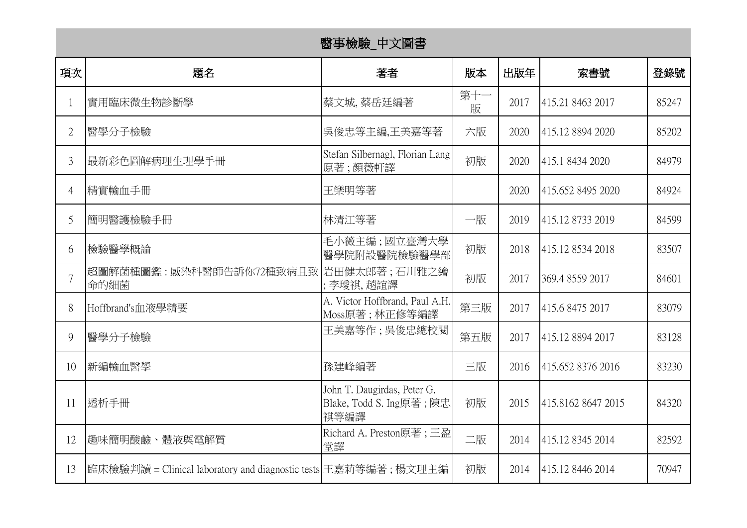## 醫事檢驗\_中文圖書

| 項次             | 題名                                                              | 著者                                                             | 版本       | 出版年  | 索書號                | 登錄號   |
|----------------|-----------------------------------------------------------------|----------------------------------------------------------------|----------|------|--------------------|-------|
| 1              | 實用臨床微生物診斷學                                                      | 蔡文城,蔡岳廷編著                                                      | 第十一<br>版 | 2017 | 415.21 8463 2017   | 85247 |
| $\overline{2}$ | 醫學分子檢驗                                                          | 吳俊忠等主編,王美嘉等著                                                   | 六版       | 2020 | 415.12 8894 2020   | 85202 |
| $\mathfrak{Z}$ | 最新彩色圖解病理生理學手冊                                                   | Stefan Silbernagl, Florian Lang<br>原著;顏薇軒譯                     | 初版       | 2020 | 415.1 8434 2020    | 84979 |
| $\overline{4}$ | 精實輸血手冊                                                          | 王樂明等著                                                          |          | 2020 | 415.652 8495 2020  | 84924 |
| 5              | 簡明醫護檢驗手冊                                                        | 林清江等著                                                          | 一版       | 2019 | 415.12 8733 2019   | 84599 |
| 6              | 檢驗醫學概論                                                          | 毛小薇主編;國立臺灣大學<br>醫學院附設醫院檢驗醫學部                                   | 初版       | 2018 | 415.12 8534 2018   | 83507 |
|                | 超圖解菌種圖鑑:感染科醫師告訴你72種致病且致 岩田健太郎著;石川雅之繪<br>命的細菌                    | ;李璦祺,趙誼譯                                                       | 初版       | 2017 | 369.4 8559 2017    | 84601 |
| 8              | Hoffbrand's血液學精要                                                | A. Victor Hoffbrand, Paul A.H.<br>Moss原著;林正修等編譯                | 第三版      | 2017 | 415.6 8475 2017    | 83079 |
| 9              | 醫學分子檢驗                                                          | 王美嘉等作 ; 吳俊忠總校閱                                                 | 第五版      | 2017 | 415.12 8894 2017   | 83128 |
| 10             | 新編輸血醫學                                                          | 孫建峰編著                                                          | 三版       | 2016 | 415.652 8376 2016  | 83230 |
| 11             | 透析手冊                                                            | John T. Daugirdas, Peter G.<br>Blake, Todd S. Ing原著;陳忠<br>祺等編譯 | 初版       | 2015 | 415.8162 8647 2015 | 84320 |
| 12             | 趣味簡明酸鹼、體液與電解質                                                   | Richard A. Preston原著; 王盈<br>堂譯                                 | 二版       | 2014 | 415.12 8345 2014   | 82592 |
| 13             | 臨床檢驗判讀 = Clinical laboratory and diagnostic tests 王嘉莉等編著; 楊文理主編 |                                                                | 初版       | 2014 | 415.12 8446 2014   | 70947 |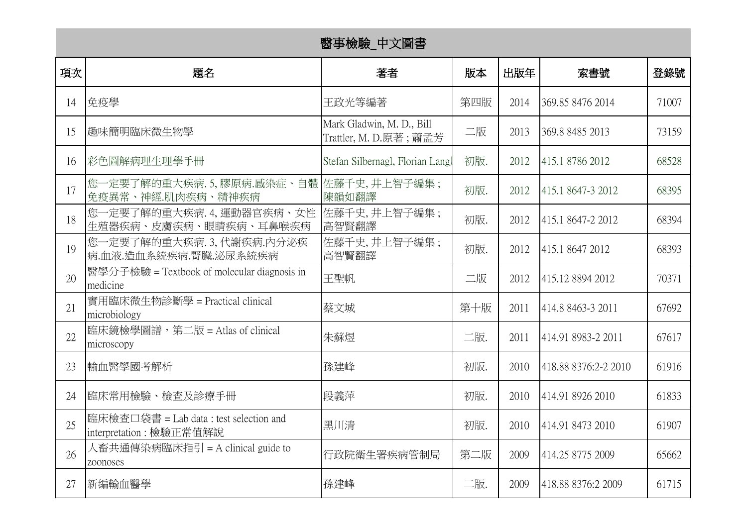| 醫事檢驗_中文圖書 |                                                                   |                                                     |     |      |                       |       |  |
|-----------|-------------------------------------------------------------------|-----------------------------------------------------|-----|------|-----------------------|-------|--|
| 項次        | 題名                                                                | 著者                                                  | 版本  | 出版年  | 索書號                   | 登錄號   |  |
| 14        | 免疫學                                                               | 王政光等編著                                              | 第四版 | 2014 | 369.85 8476 2014      | 71007 |  |
| 15        | 趣味簡明臨床微生物學                                                        | Mark Gladwin, M. D., Bill<br>Trattler, M. D.原著; 蕭孟芳 | 二版  | 2013 | 369.8 8485 2013       | 73159 |  |
| 16        | 彩色圖解病理生理學手冊                                                       | Stefan Silbernagl, Florian Lang                     | 初版. | 2012 | 415.1 8786 2012       | 68528 |  |
| 17        | 您一定要了解的重大疾病.5,膠原病.感染症、自體 佐藤千史,井上智子編集;<br>免疫異常、神經.肌肉疾病、精神疾病        | 陳韻如翻譯                                               | 初版. | 2012 | 415.1 8647-3 2012     | 68395 |  |
| 18        | 您一定要了解的重大疾病. 4, 運動器官疾病、女性<br>生殖器疾病、皮膚疾病、眼睛疾病、耳鼻喉疾病                | 佐藤千史,井上智子編集;<br>高智賢翻譯                               | 初版. | 2012 | 415.1 8647-2 2012     | 68394 |  |
| 19        | 您一定要了解的重大疾病.3,代謝疾病.内分泌疾<br>病.血液.造血系統疾病.腎臟.泌尿系統疾病                  | 佐藤千史,井上智子編集;<br>高智賢翻譯                               | 初版. | 2012 | 415.1 8647 2012       | 68393 |  |
| 20        | 醫學分子檢驗 = Textbook of molecular diagnosis in<br>medicine           | 王聖帆                                                 | 二版  | 2012 | 415.12 8894 2012      | 70371 |  |
| 21        | 實用臨床微生物診斷學 = Practical clinical<br>microbiology                   | 蔡文城                                                 | 第十版 | 2011 | 414.8 8463-3 2011     | 67692 |  |
| 22        | 臨床鏡檢學圖譜, 第二版 = Atlas of clinical<br>microscopy                    | 朱蘇煜                                                 | 二版. | 2011 | 414.91 8983-2 2011    | 67617 |  |
| 23        | 輸血醫學國考解析                                                          | 孫建峰                                                 | 初版. | 2010 | 418.88 8376:2-2 2010  | 61916 |  |
| 24        | 臨床常用檢驗、檢查及診療手冊                                                    | 段義萍                                                 | 初版. | 2010 | 414.91 8926 2010      | 61833 |  |
| 25        | 臨床檢查口袋書 = Lab data : test selection and<br>interpretation:檢驗正常值解說 | 黑川清                                                 | 初版. |      | 2010 414.91 8473 2010 | 61907 |  |
| 26        | 人畜共通傳染病臨床指引 = A clinical guide to<br>zoonoses                     | 行政院衛生署疾病管制局                                         | 第二版 | 2009 | 414.25 8775 2009      | 65662 |  |
| 27        | 新編輸血醫學                                                            | 孫建峰                                                 | 二版. | 2009 | 418.88 8376:2 2009    | 61715 |  |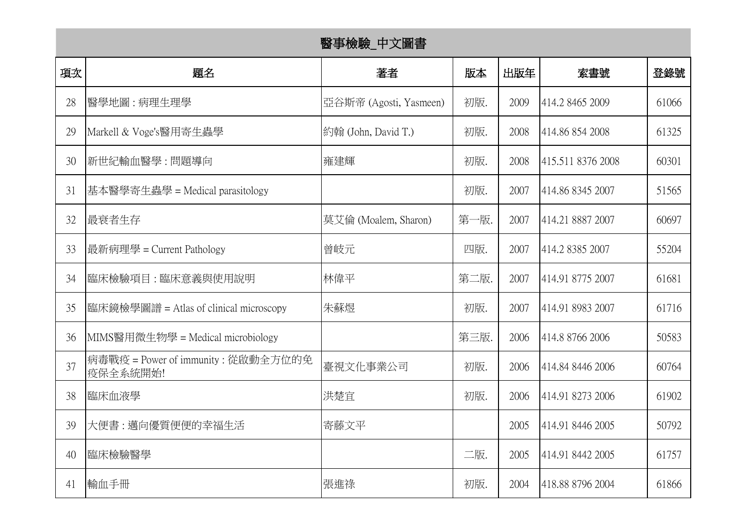|    | 醫事檢驗_中文圖書                                      |                        |      |      |                   |       |  |  |
|----|------------------------------------------------|------------------------|------|------|-------------------|-------|--|--|
| 項次 | 題名                                             | 著者                     | 版本   | 出版年  | 索書號               | 登錄號   |  |  |
| 28 | 醫學地圖 : 病理生理學                                   | 亞谷斯帝 (Agosti, Yasmeen) | 初版.  | 2009 | 414.2 8465 2009   | 61066 |  |  |
| 29 | Markell & Voge's醫用寄生蟲學                         | 約翰 (John, David T.)    | 初版.  | 2008 | 414.86 854 2008   | 61325 |  |  |
| 30 | 新世紀輸血醫學 : 問題導向                                 | 雍建輝                    | 初版.  | 2008 | 415.511 8376 2008 | 60301 |  |  |
| 31 | 基本醫學寄生蟲學 = Medical parasitology                |                        | 初版.  | 2007 | 414.86 8345 2007  | 51565 |  |  |
| 32 | 最衰者生存                                          | 莫艾倫 (Moalem, Sharon)   | 第一版. | 2007 | 414.21 8887 2007  | 60697 |  |  |
| 33 | 最新病理學 = Current Pathology                      | 曾岐元                    | 四版.  | 2007 | 414.2 8385 2007   | 55204 |  |  |
| 34 | 臨床檢驗項目 : 臨床意義與使用說明                             | 林偉平                    | 第二版. | 2007 | 414.91 8775 2007  | 61681 |  |  |
| 35 | 臨床鏡檢學圖譜 = Atlas of clinical microscopy         | 朱蘇煜                    | 初版.  | 2007 | 414.91 8983 2007  | 61716 |  |  |
| 36 | MIMS醫用微生物學 = Medical microbiology              |                        | 第三版. | 2006 | 414.8 8766 2006   | 50583 |  |  |
| 37 | 病毒戰疫 = Power of immunity: 從啟動全方位的免<br>疫保全系統開始! | 臺視文化事業公司               | 初版.  | 2006 | 414.84 8446 2006  | 60764 |  |  |
| 38 | 臨床血液學                                          | 洪楚宜                    | 初版.  | 2006 | 414.91 8273 2006  | 61902 |  |  |
| 39 | 大便書 : 邁向優質便便的幸福生活                              | 寄藤文平                   |      | 2005 | 414.91 8446 2005  | 50792 |  |  |
| 40 | 臨床檢驗醫學                                         |                        | 二版.  | 2005 | 414.91 8442 2005  | 61757 |  |  |
| 41 | 輸血手冊                                           | 張進祿                    | 初版.  | 2004 | 418.88 8796 2004  | 61866 |  |  |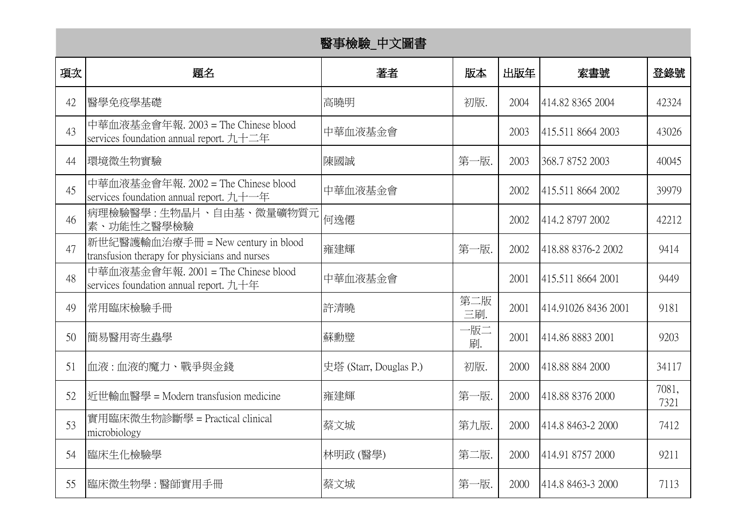|    | 醫事檢驗_中文圖書                                                                                             |                        |            |      |                     |               |  |
|----|-------------------------------------------------------------------------------------------------------|------------------------|------------|------|---------------------|---------------|--|
| 項次 | 題名                                                                                                    | 著者                     | 版本         | 出版年  | 索書號                 | 登錄號           |  |
| 42 | 醫學免疫學基礎                                                                                               | 高曉明                    | 初版.        | 2004 | 414.82 8365 2004    | 42324         |  |
| 43 | 中華血液基金會年報. 2003 = The Chinese blood<br>services foundation annual report. 九十二年                        | 中華血液基金會                |            | 2003 | 415.511 8664 2003   | 43026         |  |
| 44 | 環境微生物實驗                                                                                               | 陳國誠                    | 第一版.       | 2003 | 368.7 8752 2003     | 40045         |  |
| 45 | 中華血液基金會年報. 2002 = The Chinese blood<br>services foundation annual report. 九十一年                        | 中華血液基金會                |            | 2002 | 415.511 8664 2002   | 39979         |  |
| 46 | 病理檢驗醫學:生物晶片、自由基、微量礦物質元<br>素、功能性之醫學檢驗                                                                  | 何逸僊                    |            | 2002 | 414.2 8797 2002     | 42212         |  |
| 47 | 新世紀醫護輸血治療手冊 = New century in blood<br>transfusion therapy for physicians and nurses                   | 雍建輝                    | 第一版.       | 2002 | 418.88 8376-2 2002  | 9414          |  |
| 48 | 中華血液基金會年報. 2001 = The Chinese blood<br>services foundation annual report. $\text{th}\text{+}\text{#}$ | 中華血液基金會                |            | 2001 | 415.511 8664 2001   | 9449          |  |
| 49 | 常用臨床檢驗手冊                                                                                              | 許清曉                    | 第二版<br>三刷. | 2001 | 414.91026 8436 2001 | 9181          |  |
| 50 | 簡易醫用寄生蟲學                                                                                              | 蘇勳璧                    | 一版二<br>刷.  | 2001 | 414.86 8883 2001    | 9203          |  |
| 51 | 血液:血液的魔力、戰爭與金錢                                                                                        | 史塔 (Starr, Douglas P.) | 初版.        | 2000 | 418.88 884 2000     | 34117         |  |
| 52 | 近世輸血醫學 = Modern transfusion medicine                                                                  | 雍建輝                    | 第一版.       | 2000 | 418.88 8376 2000    | 7081,<br>7321 |  |
| 53 | 實用臨床微生物診斷學 = Practical clinical<br>microbiology                                                       | 蔡文城                    | 第九版.       | 2000 | 414.8 8463-2 2000   | 7412          |  |
| 54 | 臨床生化檢驗學                                                                                               | 林明政 (醫學)               | 第二版.       | 2000 | 414.91 8757 2000    | 9211          |  |
| 55 | 臨床微生物學 : 醫師實用手冊                                                                                       | 蔡文城                    | 第一版.       | 2000 | 414.8 8463-3 2000   | 7113          |  |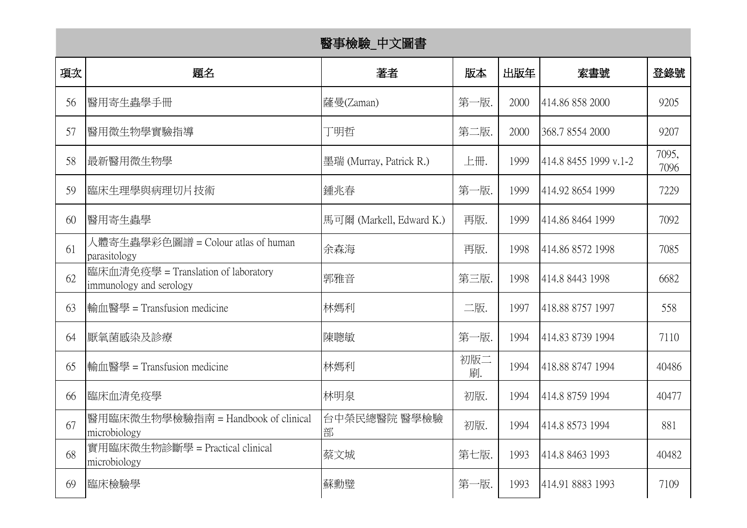| 醫事檢驗_中文圖書 |                                                                |                          |           |      |                       |               |  |
|-----------|----------------------------------------------------------------|--------------------------|-----------|------|-----------------------|---------------|--|
| 項次        | 題名                                                             | 著者                       | 版本        | 出版年  | 索書號                   | 登錄號           |  |
| 56        | 醫用寄生蟲學手冊                                                       | 薩曼(Zaman)                | 第一版.      | 2000 | 414.86 858 2000       | 9205          |  |
| 57        | 醫用微生物學實驗指導                                                     | 丁明哲                      | 第二版.      | 2000 | 368.7 8554 2000       | 9207          |  |
| 58        | 最新醫用微生物學                                                       | 墨瑞 (Murray, Patrick R.)  | 上冊.       | 1999 | 414.8 8455 1999 v.1-2 | 7095,<br>7096 |  |
| 59        | 臨床生理學與病理切片技術                                                   | 鍾兆春                      | 第一版.      | 1999 | 414.92 8654 1999      | 7229          |  |
| 60        | 醫用寄生蟲學                                                         | 馬可爾 (Markell, Edward K.) | 再版.       | 1999 | 414.86 8464 1999      | 7092          |  |
| 61        | 人體寄生蟲學彩色圖譜 = Colour atlas of human<br>parasitology             | 余森海                      | 再版.       | 1998 | 414.86 8572 1998      | 7085          |  |
| 62        | 臨床血清免疫學 = Translation of laboratory<br>immunology and serology | 郭雅音                      | 第三版.      | 1998 | 414.8 8443 1998       | 6682          |  |
| 63        | 輸血醫學 = Transfusion medicine                                    | 林媽利                      | 二版.       | 1997 | 418.88 8757 1997      | 558           |  |
| 64        | 厭氧菌感染及診療                                                       | 陳聰敏                      | 第一版.      | 1994 | 414.83 8739 1994      | 7110          |  |
| 65        | 輸血醫學 = Transfusion medicine                                    | 林媽利                      | 初版二<br>刷. | 1994 | 418.88 8747 1994      | 40486         |  |
| 66        | 臨床血清免疫學                                                        | 林明泉                      | 初版.       | 1994 | 414.8 8759 1994       | 40477         |  |
| 67        | 醫用臨床微生物學檢驗指南 = Handbook of clinical<br>microbiology            | 台中榮民總醫院 醫學檢驗<br>部        | 初版.       | 1994 | 414.8 8573 1994       | 881           |  |
| 68        | 實用臨床微生物診斷學 = Practical clinical<br>microbiology                | 蔡文城                      | 第七版.      | 1993 | 414.8 8463 1993       | 40482         |  |
| 69        | 臨床檢驗學                                                          | 蘇勳璧                      | 第一版.      | 1993 | 414.91 8883 1993      | 7109          |  |